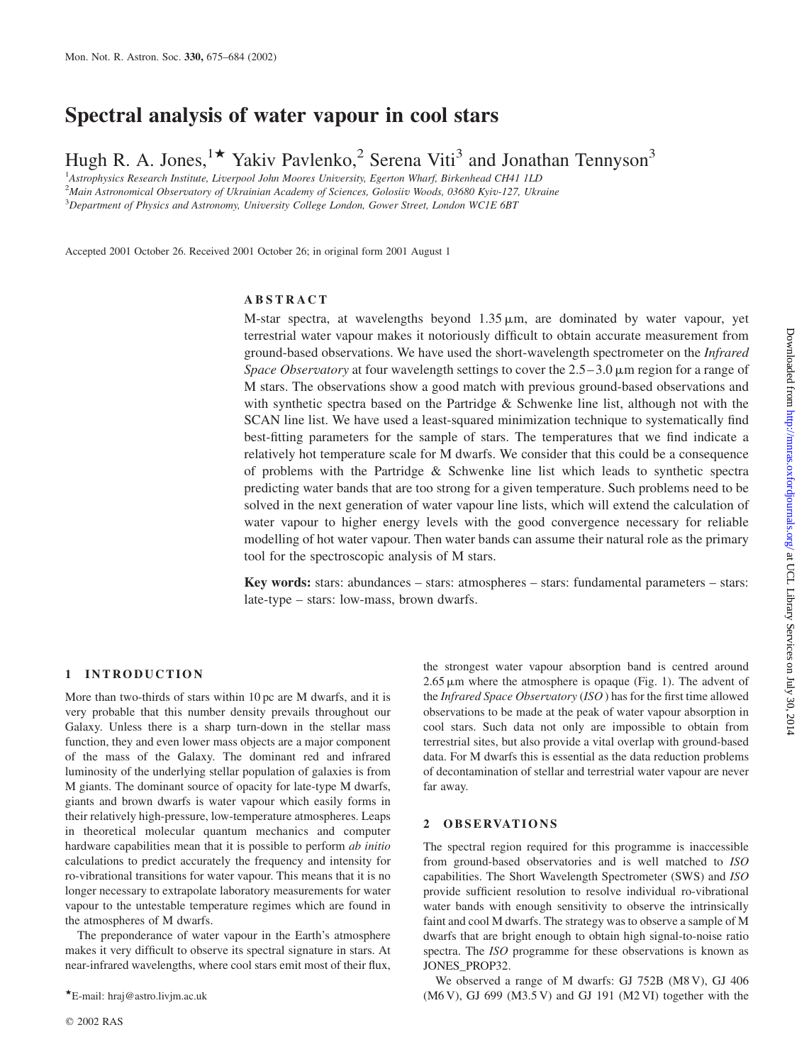# Spectral analysis of water vapour in cool stars

Hugh R. A. Jones,<sup>1\*</sup> Yakiv Pavlenko,<sup>2</sup> Serena Viti<sup>3</sup> and Jonathan Tennyson<sup>3</sup>

<sup>1</sup>Astrophysics Research Institute, Liverpool John Moores University, Egerton Wharf, Birkenhead CH41 1LD

2 Main Astronomical Observatory of Ukrainian Academy of Sciences, Golosiiv Woods, 03680 Kyiv-127, Ukraine

<sup>3</sup>Department of Physics and Astronomy, University College London, Gower Street, London WC1E 6BT

Accepted 2001 October 26. Received 2001 October 26; in original form 2001 August 1

# ABSTRACT

M-star spectra, at wavelengths beyond  $1.35 \mu m$ , are dominated by water vapour, yet terrestrial water vapour makes it notoriously difficult to obtain accurate measurement from ground-based observations. We have used the short-wavelength spectrometer on the Infrared Space Observatory at four wavelength settings to cover the  $2.5-3.0 \mu m$  region for a range of M stars. The observations show a good match with previous ground-based observations and with synthetic spectra based on the Partridge & Schwenke line list, although not with the SCAN line list. We have used a least-squared minimization technique to systematically find best-fitting parameters for the sample of stars. The temperatures that we find indicate a relatively hot temperature scale for M dwarfs. We consider that this could be a consequence of problems with the Partridge  $\&$  Schwenke line list which leads to synthetic spectra predicting water bands that are too strong for a given temperature. Such problems need to be solved in the next generation of water vapour line lists, which will extend the calculation of water vapour to higher energy levels with the good convergence necessary for reliable modelling of hot water vapour. Then water bands can assume their natural role as the primary tool for the spectroscopic analysis of M stars.

Key words: stars: abundances – stars: atmospheres – stars: fundamental parameters – stars: late-type – stars: low-mass, brown dwarfs.

## 1 INTRODUCTION

More than two-thirds of stars within 10 pc are M dwarfs, and it is very probable that this number density prevails throughout our Galaxy. Unless there is a sharp turn-down in the stellar mass function, they and even lower mass objects are a major component of the mass of the Galaxy. The dominant red and infrared luminosity of the underlying stellar population of galaxies is from M giants. The dominant source of opacity for late-type M dwarfs, giants and brown dwarfs is water vapour which easily forms in their relatively high-pressure, low-temperature atmospheres. Leaps in theoretical molecular quantum mechanics and computer hardware capabilities mean that it is possible to perform ab initio calculations to predict accurately the frequency and intensity for ro-vibrational transitions for water vapour. This means that it is no longer necessary to extrapolate laboratory measurements for water vapour to the untestable temperature regimes which are found in the atmospheres of M dwarfs.

The preponderance of water vapour in the Earth's atmosphere makes it very difficult to observe its spectral signature in stars. At near-infrared wavelengths, where cool stars emit most of their flux,

the strongest water vapour absorption band is centred around  $2.65 \mu m$  where the atmosphere is opaque (Fig. 1). The advent of the Infrared Space Observatory (ISO) has for the first time allowed observations to be made at the peak of water vapour absorption in cool stars. Such data not only are impossible to obtain from terrestrial sites, but also provide a vital overlap with ground-based data. For M dwarfs this is essential as the data reduction problems of decontamination of stellar and terrestrial water vapour are never far away.

## 2 OBSERVATIONS

The spectral region required for this programme is inaccessible from ground-based observatories and is well matched to ISO capabilities. The Short Wavelength Spectrometer (SWS) and ISO provide sufficient resolution to resolve individual ro-vibrational water bands with enough sensitivity to observe the intrinsically faint and cool M dwarfs. The strategy was to observe a sample of M dwarfs that are bright enough to obtain high signal-to-noise ratio spectra. The ISO programme for these observations is known as JONES\_PROP32.

We observed a range of M dwarfs: GJ 752B (M8 V), GJ 406 E-mail: hraj@astro.livjm.ac.uk (M6 V), GJ 699 (M3.5 V) and GJ 191 (M2 VI) together with the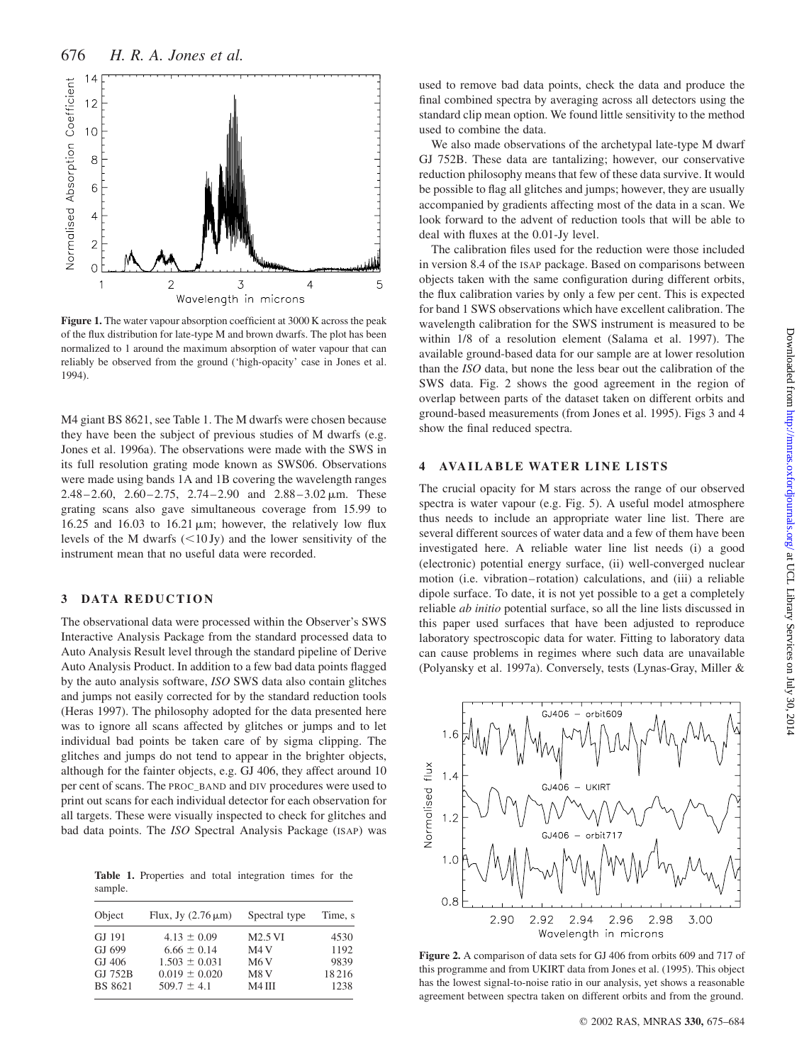

Figure 1. The water vapour absorption coefficient at 3000 K across the peak of the flux distribution for late-type M and brown dwarfs. The plot has been normalized to 1 around the maximum absorption of water vapour that can reliably be observed from the ground ('high-opacity' case in Jones et al. 1994).

M4 giant BS 8621, see Table 1. The M dwarfs were chosen because they have been the subject of previous studies of M dwarfs (e.g. Jones et al. 1996a). The observations were made with the SWS in its full resolution grating mode known as SWS06. Observations were made using bands 1A and 1B covering the wavelength ranges 2.48–2.60, 2.60–2.75, 2.74–2.90 and  $2.88-3.02 \,\mu \text{m}$ . These grating scans also gave simultaneous coverage from 15.99 to 16.25 and 16.03 to 16.21  $\mu$ m; however, the relatively low flux levels of the M dwarfs  $\left($ <10 Jy) and the lower sensitivity of the instrument mean that no useful data were recorded.

# 3 DATA REDUCTION

The observational data were processed within the Observer's SWS Interactive Analysis Package from the standard processed data to Auto Analysis Result level through the standard pipeline of Derive Auto Analysis Product. In addition to a few bad data points flagged by the auto analysis software, ISO SWS data also contain glitches and jumps not easily corrected for by the standard reduction tools (Heras 1997). The philosophy adopted for the data presented here was to ignore all scans affected by glitches or jumps and to let individual bad points be taken care of by sigma clipping. The glitches and jumps do not tend to appear in the brighter objects, although for the fainter objects, e.g. GJ 406, they affect around 10 per cent of scans. The PROC\_BAND and DIV procedures were used to print out scans for each individual detector for each observation for all targets. These were visually inspected to check for glitches and bad data points. The ISO Spectral Analysis Package (ISAP) was

Table 1. Properties and total integration times for the sample.

| Object         | Flux, Jy $(2.76 \,\mu\text{m})$ | Spectral type      | Time, s |
|----------------|---------------------------------|--------------------|---------|
| GJ 191         | $4.13 \pm 0.09$                 | M2.5 VI            | 4530    |
| GJ 699         | $6.66 \pm 0.14$                 | M <sub>4</sub> V   | 1192    |
| GJ 406         | $1.503 \pm 0.031$               | M <sub>6</sub> V   | 9839    |
| GJ 752B        | $0.019 \pm 0.020$               | M8 <sub>V</sub>    | 18216   |
| <b>BS 8621</b> | $509.7 \pm 4.1$                 | M <sub>4</sub> III | 1238    |
|                |                                 |                    |         |

used to remove bad data points, check the data and produce the final combined spectra by averaging across all detectors using the standard clip mean option. We found little sensitivity to the method used to combine the data.

We also made observations of the archetypal late-type M dwarf GJ 752B. These data are tantalizing; however, our conservative reduction philosophy means that few of these data survive. It would be possible to flag all glitches and jumps; however, they are usually accompanied by gradients affecting most of the data in a scan. We look forward to the advent of reduction tools that will be able to deal with fluxes at the 0.01-Jy level.

The calibration files used for the reduction were those included in version 8.4 of the ISAP package. Based on comparisons between objects taken with the same configuration during different orbits, the flux calibration varies by only a few per cent. This is expected for band 1 SWS observations which have excellent calibration. The wavelength calibration for the SWS instrument is measured to be within 1/8 of a resolution element (Salama et al. 1997). The available ground-based data for our sample are at lower resolution than the ISO data, but none the less bear out the calibration of the SWS data. Fig. 2 shows the good agreement in the region of overlap between parts of the dataset taken on different orbits and ground-based measurements (from Jones et al. 1995). Figs 3 and 4 show the final reduced spectra.

# 4 AVAILABLE WATER LINE LISTS

The crucial opacity for M stars across the range of our observed spectra is water vapour (e.g. Fig. 5). A useful model atmosphere thus needs to include an appropriate water line list. There are several different sources of water data and a few of them have been investigated here. A reliable water line list needs (i) a good (electronic) potential energy surface, (ii) well-converged nuclear motion (i.e. vibration–rotation) calculations, and (iii) a reliable dipole surface. To date, it is not yet possible to a get a completely reliable ab initio potential surface, so all the line lists discussed in this paper used surfaces that have been adjusted to reproduce laboratory spectroscopic data for water. Fitting to laboratory data can cause problems in regimes where such data are unavailable (Polyansky et al. 1997a). Conversely, tests (Lynas-Gray, Miller &



Figure 2. A comparison of data sets for GJ 406 from orbits 609 and 717 of this programme and from UKIRT data from Jones et al. (1995). This object has the lowest signal-to-noise ratio in our analysis, yet shows a reasonable agreement between spectra taken on different orbits and from the ground.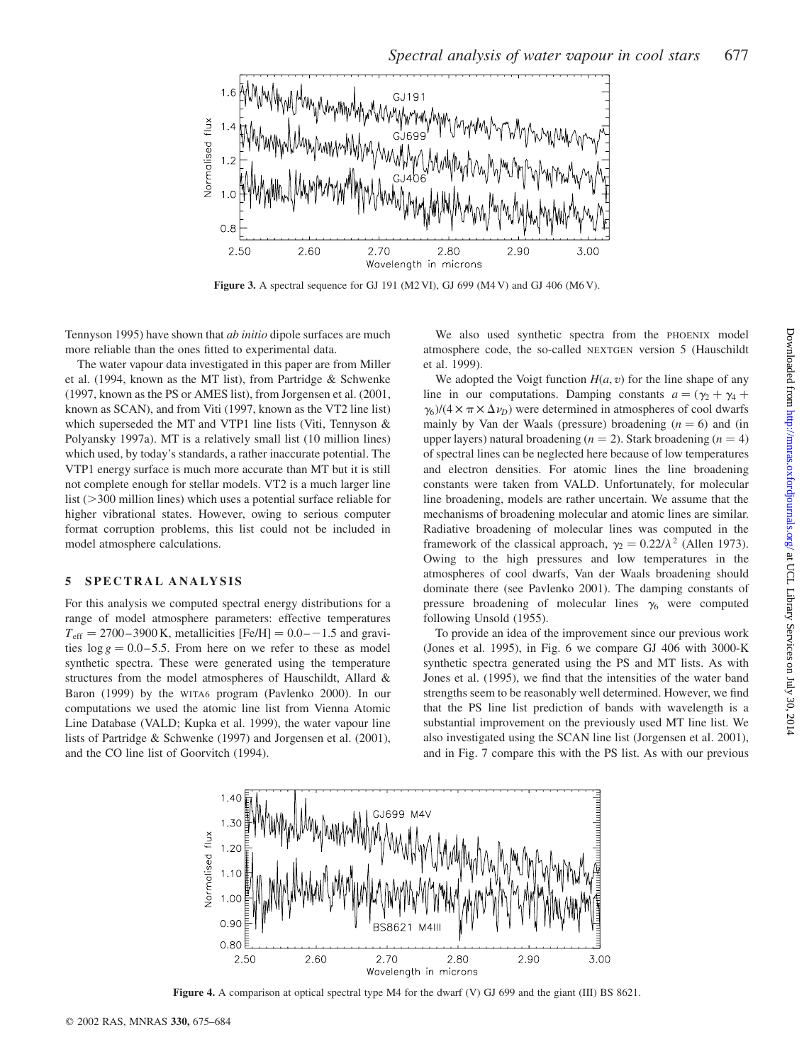

Figure 3. A spectral sequence for GJ 191 (M2 VI), GJ 699 (M4 V) and GJ 406 (M6 V).

Tennyson 1995) have shown that ab initio dipole surfaces are much more reliable than the ones fitted to experimental data.

The water vapour data investigated in this paper are from Miller et al. (1994, known as the MT list), from Partridge & Schwenke (1997, known as the PS or AMES list), from Jorgensen et al. (2001, known as SCAN), and from Viti (1997, known as the VT2 line list) which superseded the MT and VTP1 line lists (Viti, Tennyson & Polyansky 1997a). MT is a relatively small list (10 million lines) which used, by today's standards, a rather inaccurate potential. The VTP1 energy surface is much more accurate than MT but it is still not complete enough for stellar models. VT2 is a much larger line list  $(>= 300$  million lines) which uses a potential surface reliable for higher vibrational states. However, owing to serious computer format corruption problems, this list could not be included in model atmosphere calculations.

#### 5 SPECTRAL ANALYSIS

For this analysis we computed spectral energy distributions for a range of model atmosphere parameters: effective temperatures  $T_{\text{eff}} = 2700 - 3900 \text{ K}$ , metallicities [Fe/H] = 0.0––1.5 and gravities  $\log g = 0.0 - 5.5$ . From here on we refer to these as model synthetic spectra. These were generated using the temperature structures from the model atmospheres of Hauschildt, Allard & Baron (1999) by the WITA6 program (Pavlenko 2000). In our computations we used the atomic line list from Vienna Atomic Line Database (VALD; Kupka et al. 1999), the water vapour line lists of Partridge & Schwenke (1997) and Jorgensen et al. (2001), and the CO line list of Goorvitch (1994).

We also used synthetic spectra from the PHOENIX model atmosphere code, the so-called NEXTGEN version 5 (Hauschildt et al. 1999).

We adopted the Voigt function  $H(a, v)$  for the line shape of any line in our computations. Damping constants  $a = (\gamma_2 + \gamma_4 + \gamma_5)$  $\gamma_6$ /(4  $\times \pi \times \Delta \nu_D$ ) were determined in atmospheres of cool dwarfs mainly by Van der Waals (pressure) broadening  $(n = 6)$  and (in upper layers) natural broadening  $(n = 2)$ . Stark broadening  $(n = 4)$ of spectral lines can be neglected here because of low temperatures and electron densities. For atomic lines the line broadening constants were taken from VALD. Unfortunately, for molecular line broadening, models are rather uncertain. We assume that the mechanisms of broadening molecular and atomic lines are similar. Radiative broadening of molecular lines was computed in the framework of the classical approach,  $\gamma_2 = 0.22/\lambda^2$  (Allen 1973). Owing to the high pressures and low temperatures in the atmospheres of cool dwarfs, Van der Waals broadening should dominate there (see Pavlenko 2001). The damping constants of pressure broadening of molecular lines  $\gamma_6$  were computed following Unsold (1955).

To provide an idea of the improvement since our previous work (Jones et al. 1995), in Fig. 6 we compare GJ 406 with 3000-K synthetic spectra generated using the PS and MT lists. As with Jones et al. (1995), we find that the intensities of the water band strengths seem to be reasonably well determined. However, we find that the PS line list prediction of bands with wavelength is a substantial improvement on the previously used MT line list. We also investigated using the SCAN line list (Jorgensen et al. 2001), and in Fig. 7 compare this with the PS list. As with our previous



Figure 4. A comparison at optical spectral type M4 for the dwarf (V) GJ 699 and the giant (III) BS 8621.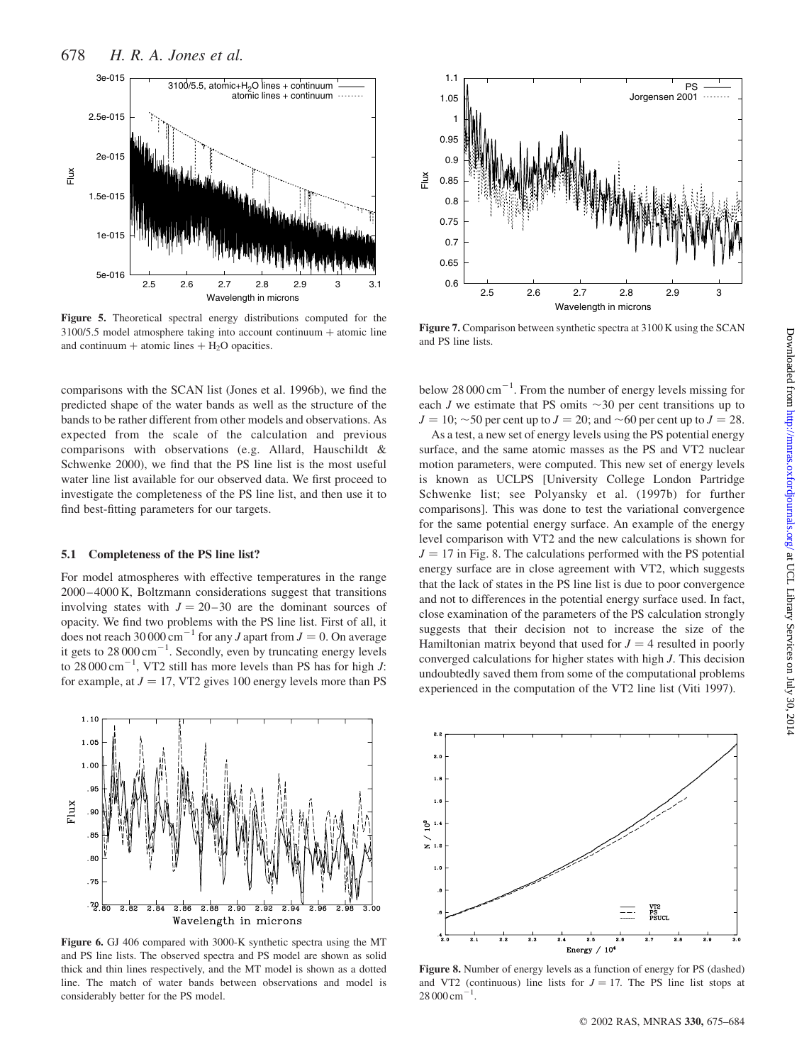

Figure 5. Theoretical spectral energy distributions computed for the  $3100/5.5$  model atmosphere taking into account continuum  $+$  atomic line and continuum + atomic lines  $+ H<sub>2</sub>O$  opacities.

comparisons with the SCAN list (Jones et al. 1996b), we find the predicted shape of the water bands as well as the structure of the bands to be rather different from other models and observations. As expected from the scale of the calculation and previous comparisons with observations (e.g. Allard, Hauschildt & Schwenke 2000), we find that the PS line list is the most useful water line list available for our observed data. We first proceed to investigate the completeness of the PS line list, and then use it to find best-fitting parameters for our targets.

#### 5.1 Completeness of the PS line list?

For model atmospheres with effective temperatures in the range 2000–4000 K, Boltzmann considerations suggest that transitions involving states with  $J = 20-30$  are the dominant sources of opacity. We find two problems with the PS line list. First of all, it does not reach 30 000 cm<sup>-1</sup> for any *J* apart from  $J = 0$ . On average it gets to  $28000 \text{ cm}^{-1}$ . Secondly, even by truncating energy levels to  $28000 \text{ cm}^{-1}$ , VT2 still has more levels than PS has for high *J*: for example, at  $J = 17$ , VT2 gives 100 energy levels more than PS



Figure 6. GJ 406 compared with 3000-K synthetic spectra using the MT and PS line lists. The observed spectra and PS model are shown as solid thick and thin lines respectively, and the MT model is shown as a dotted line. The match of water bands between observations and model is considerably better for the PS model.



Figure 7. Comparison between synthetic spectra at 3100 K using the SCAN and PS line lists.

below  $28000 \text{ cm}^{-1}$ . From the number of energy levels missing for each J we estimate that PS omits  $\sim$ 30 per cent transitions up to  $J = 10$ ;  $\sim$  50 per cent up to  $J = 20$ ; and  $\sim$  60 per cent up to  $J = 28$ .

As a test, a new set of energy levels using the PS potential energy surface, and the same atomic masses as the PS and VT2 nuclear motion parameters, were computed. This new set of energy levels is known as UCLPS [University College London Partridge Schwenke list; see Polyansky et al. (1997b) for further comparisons]. This was done to test the variational convergence for the same potential energy surface. An example of the energy level comparison with VT2 and the new calculations is shown for  $J = 17$  in Fig. 8. The calculations performed with the PS potential energy surface are in close agreement with VT2, which suggests that the lack of states in the PS line list is due to poor convergence and not to differences in the potential energy surface used. In fact, close examination of the parameters of the PS calculation strongly suggests that their decision not to increase the size of the Hamiltonian matrix beyond that used for  $J = 4$  resulted in poorly converged calculations for higher states with high J. This decision undoubtedly saved them from some of the computational problems experienced in the computation of the VT2 line list (Viti 1997).

Downloaded from http://mnras.oxfordjournals.org/ at UCL Library Services on July 30, 2014 Downloaded from <http://mnras.oxfordjournals.org/> at UCL Library Services on July 30, 2014



Figure 8. Number of energy levels as a function of energy for PS (dashed) and VT2 (continuous) line lists for  $J = 17$ . The PS line list stops at  $28000 \text{ cm}^{-1}$ .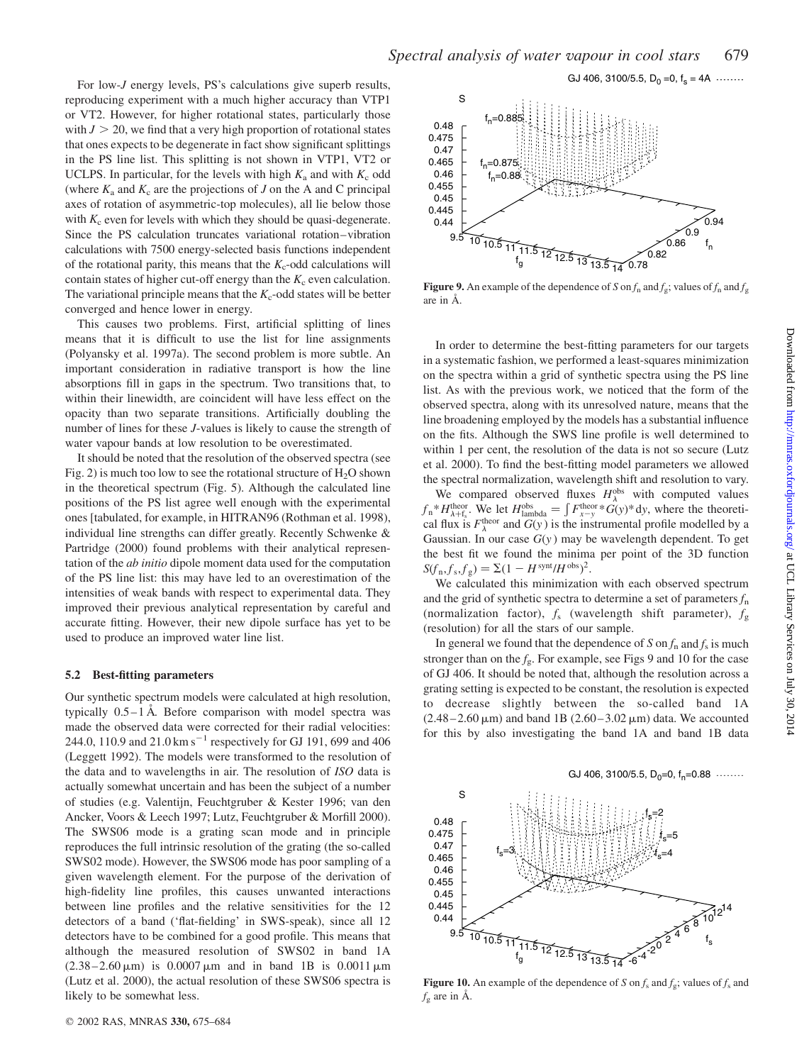For low-*J* energy levels, PS's calculations give superb results, reproducing experiment with a much higher accuracy than VTP1 or VT2. However, for higher rotational states, particularly those with  $J > 20$ , we find that a very high proportion of rotational states that ones expects to be degenerate in fact show significant splittings in the PS line list. This splitting is not shown in VTP1, VT2 or UCLPS. In particular, for the levels with high  $K_a$  and with  $K_c$  odd (where  $K_a$  and  $K_c$  are the projections of J on the A and C principal axes of rotation of asymmetric-top molecules), all lie below those with  $K_c$  even for levels with which they should be quasi-degenerate. Since the PS calculation truncates variational rotation–vibration calculations with 7500 energy-selected basis functions independent of the rotational parity, this means that the  $K_c$ -odd calculations will contain states of higher cut-off energy than the  $K<sub>c</sub>$  even calculation. The variational principle means that the  $K_c$ -odd states will be better converged and hence lower in energy.

This causes two problems. First, artificial splitting of lines means that it is difficult to use the list for line assignments (Polyansky et al. 1997a). The second problem is more subtle. An important consideration in radiative transport is how the line absorptions fill in gaps in the spectrum. Two transitions that, to within their linewidth, are coincident will have less effect on the opacity than two separate transitions. Artificially doubling the number of lines for these J-values is likely to cause the strength of water vapour bands at low resolution to be overestimated.

It should be noted that the resolution of the observed spectra (see Fig. 2) is much too low to see the rotational structure of  $H_2O$  shown in the theoretical spectrum (Fig. 5). Although the calculated line positions of the PS list agree well enough with the experimental ones [tabulated, for example, in HITRAN96 (Rothman et al. 1998), individual line strengths can differ greatly. Recently Schwenke & Partridge (2000) found problems with their analytical representation of the ab initio dipole moment data used for the computation of the PS line list: this may have led to an overestimation of the intensities of weak bands with respect to experimental data. They improved their previous analytical representation by careful and accurate fitting. However, their new dipole surface has yet to be used to produce an improved water line list.

#### 5.2 Best-fitting parameters

Our synthetic spectrum models were calculated at high resolution, typically  $0.5-1$  Å. Before comparison with model spectra was made the observed data were corrected for their radial velocities: 244.0, 110.9 and 21.0 km s<sup>-1</sup> respectively for GJ 191, 699 and 406 (Leggett 1992). The models were transformed to the resolution of the data and to wavelengths in air. The resolution of ISO data is actually somewhat uncertain and has been the subject of a number of studies (e.g. Valentijn, Feuchtgruber & Kester 1996; van den Ancker, Voors & Leech 1997; Lutz, Feuchtgruber & Morfill 2000). The SWS06 mode is a grating scan mode and in principle reproduces the full intrinsic resolution of the grating (the so-called SWS02 mode). However, the SWS06 mode has poor sampling of a given wavelength element. For the purpose of the derivation of high-fidelity line profiles, this causes unwanted interactions between line profiles and the relative sensitivities for the 12 detectors of a band ('flat-fielding' in SWS-speak), since all 12 detectors have to be combined for a good profile. This means that although the measured resolution of SWS02 in band 1A  $(2.38-2.60 \,\mu\text{m})$  is 0.0007  $\mu$ m and in band 1B is 0.0011  $\mu$ m (Lutz et al. 2000), the actual resolution of these SWS06 spectra is likely to be somewhat less.



**Figure 9.** An example of the dependence of S on  $f_n$  and  $f_g$ ; values of  $f_n$  and  $f_g$ are in  $\AA$ .

In order to determine the best-fitting parameters for our targets in a systematic fashion, we performed a least-squares minimization on the spectra within a grid of synthetic spectra using the PS line list. As with the previous work, we noticed that the form of the observed spectra, along with its unresolved nature, means that the line broadening employed by the models has a substantial influence on the fits. Although the SWS line profile is well determined to within 1 per cent, the resolution of the data is not so secure (Lutz et al. 2000). To find the best-fitting model parameters we allowed the spectral normalization, wavelength shift and resolution to vary.

We compared observed fluxes  $H_{\lambda}^{\text{obs}}$  with computed values <sup>1</sup>/<sub>h</sub> \*H<sub>h+f<sub>s</sub></sub>. We let  $H_{\text{lambda}}^{\text{obs}} = \int F_{x-y}^{\text{theor}} G(y)^* dy$ , where the theoretical flux is  $F_{\lambda}^{\text{theor}}$  and  $G(y)$  is the instrumental profile modelled by a Gaussian. In our case  $G(y)$  may be wavelength dependent. To get the best fit we found the minima per point of the 3D function  $S(f_n, f_s, f_g) = \Sigma (1 - H^{\text{synt}}/H^{\text{obs}})^2.$ 

We calculated this minimization with each observed spectrum and the grid of synthetic spectra to determine a set of parameters  $f_n$ (normalization factor),  $f_s$  (wavelength shift parameter),  $f_g$ (resolution) for all the stars of our sample.

In general we found that the dependence of S on  $f_n$  and  $f_s$  is much stronger than on the  $f_g$ . For example, see Figs 9 and 10 for the case of GJ 406. It should be noted that, although the resolution across a grating setting is expected to be constant, the resolution is expected to decrease slightly between the so-called band 1A  $(2.48 - 2.60 \,\mu\text{m})$  and band 1B  $(2.60 - 3.02 \,\mu\text{m})$  data. We accounted for this by also investigating the band 1A and band 1B data



Figure 10. An example of the dependence of S on  $f_s$  and  $f_g$ ; values of  $f_s$  and  $f_{\rm g}$  are in Å.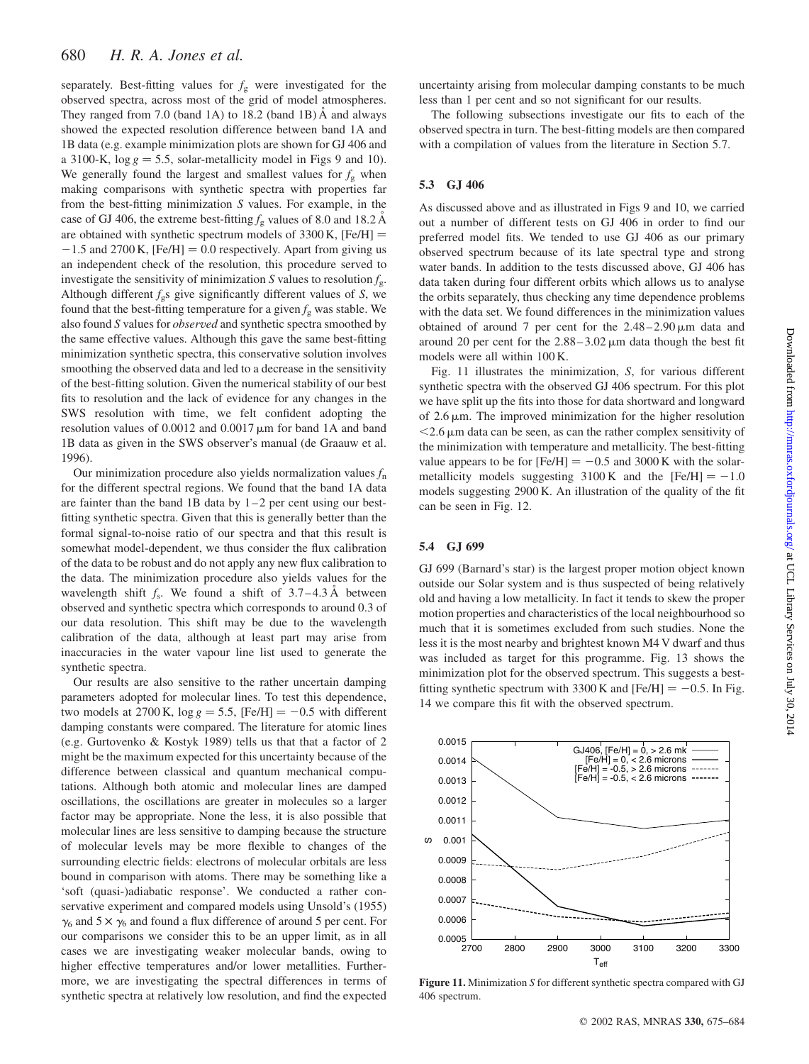separately. Best-fitting values for  $f<sub>g</sub>$  were investigated for the observed spectra, across most of the grid of model atmospheres. They ranged from 7.0 (band 1A) to 18.2 (band 1B)  $\AA$  and always showed the expected resolution difference between band 1A and 1B data (e.g. example minimization plots are shown for GJ 406 and a 3100-K,  $\log g = 5.5$ , solar-metallicity model in Figs 9 and 10). We generally found the largest and smallest values for  $f_g$  when making comparisons with synthetic spectra with properties far from the best-fitting minimization S values. For example, in the case of GJ 406, the extreme best-fitting  $f<sub>g</sub>$  values of 8.0 and 18.2 Å are obtained with synthetic spectrum models of  $3300$  K, [Fe/H] =  $-1.5$  and 2700 K,  $[Fe/H] = 0.0$  respectively. Apart from giving us an independent check of the resolution, this procedure served to investigate the sensitivity of minimization S values to resolution  $f_{\sigma}$ . Although different  $f_{\rm g}$ s give significantly different values of S, we found that the best-fitting temperature for a given  $f_{\rm g}$  was stable. We also found S values for observed and synthetic spectra smoothed by the same effective values. Although this gave the same best-fitting minimization synthetic spectra, this conservative solution involves smoothing the observed data and led to a decrease in the sensitivity of the best-fitting solution. Given the numerical stability of our best fits to resolution and the lack of evidence for any changes in the SWS resolution with time, we felt confident adopting the resolution values of  $0.0012$  and  $0.0017 \,\mathrm{\upmu m}$  for band 1A and band 1B data as given in the SWS observer's manual (de Graauw et al. 1996).

Our minimization procedure also yields normalization values  $f_n$ for the different spectral regions. We found that the band 1A data are fainter than the band 1B data by  $1-2$  per cent using our bestfitting synthetic spectra. Given that this is generally better than the formal signal-to-noise ratio of our spectra and that this result is somewhat model-dependent, we thus consider the flux calibration of the data to be robust and do not apply any new flux calibration to the data. The minimization procedure also yields values for the wavelength shift  $f_s$ . We found a shift of 3.7–4.3 Å between observed and synthetic spectra which corresponds to around 0.3 of our data resolution. This shift may be due to the wavelength calibration of the data, although at least part may arise from inaccuracies in the water vapour line list used to generate the synthetic spectra.

Our results are also sensitive to the rather uncertain damping parameters adopted for molecular lines. To test this dependence, two models at 2700 K,  $\log g = 5.5$ , [Fe/H] = -0.5 with different damping constants were compared. The literature for atomic lines (e.g. Gurtovenko & Kostyk 1989) tells us that that a factor of 2 might be the maximum expected for this uncertainty because of the difference between classical and quantum mechanical computations. Although both atomic and molecular lines are damped oscillations, the oscillations are greater in molecules so a larger factor may be appropriate. None the less, it is also possible that molecular lines are less sensitive to damping because the structure of molecular levels may be more flexible to changes of the surrounding electric fields: electrons of molecular orbitals are less bound in comparison with atoms. There may be something like a 'soft (quasi-)adiabatic response'. We conducted a rather conservative experiment and compared models using Unsold's (1955)  $\gamma_6$  and 5  $\times$   $\gamma_6$  and found a flux difference of around 5 per cent. For our comparisons we consider this to be an upper limit, as in all cases we are investigating weaker molecular bands, owing to higher effective temperatures and/or lower metallities. Furthermore, we are investigating the spectral differences in terms of synthetic spectra at relatively low resolution, and find the expected uncertainty arising from molecular damping constants to be much less than 1 per cent and so not significant for our results.

The following subsections investigate our fits to each of the observed spectra in turn. The best-fitting models are then compared with a compilation of values from the literature in Section 5.7.

## 5.3 GJ 406

As discussed above and as illustrated in Figs 9 and 10, we carried out a number of different tests on GJ 406 in order to find our preferred model fits. We tended to use GJ 406 as our primary observed spectrum because of its late spectral type and strong water bands. In addition to the tests discussed above, GJ 406 has data taken during four different orbits which allows us to analyse the orbits separately, thus checking any time dependence problems with the data set. We found differences in the minimization values obtained of around 7 per cent for the  $2.48-2.90 \,\mu m$  data and around 20 per cent for the  $2.88 - 3.02 \,\mu m$  data though the best fit models were all within 100 K.

Fig. 11 illustrates the minimization, S, for various different synthetic spectra with the observed GJ 406 spectrum. For this plot we have split up the fits into those for data shortward and longward of  $2.6 \mu$ m. The improved minimization for the higher resolution  $<$ 2.6  $\mu$ m data can be seen, as can the rather complex sensitivity of the minimization with temperature and metallicity. The best-fitting value appears to be for  $[Fe/H] = -0.5$  and 3000 K with the solarmetallicity models suggesting  $3100 \text{ K}$  and the [Fe/H] = -1.0 models suggesting 2900 K. An illustration of the quality of the fit can be seen in Fig. 12.

## 5.4 GJ 699

GJ 699 (Barnard's star) is the largest proper motion object known outside our Solar system and is thus suspected of being relatively old and having a low metallicity. In fact it tends to skew the proper motion properties and characteristics of the local neighbourhood so much that it is sometimes excluded from such studies. None the less it is the most nearby and brightest known M4 V dwarf and thus was included as target for this programme. Fig. 13 shows the minimization plot for the observed spectrum. This suggests a bestfitting synthetic spectrum with 3300 K and  $[Fe/H] = -0.5$ . In Fig. 14 we compare this fit with the observed spectrum.



Figure 11. Minimization S for different synthetic spectra compared with GJ 406 spectrum.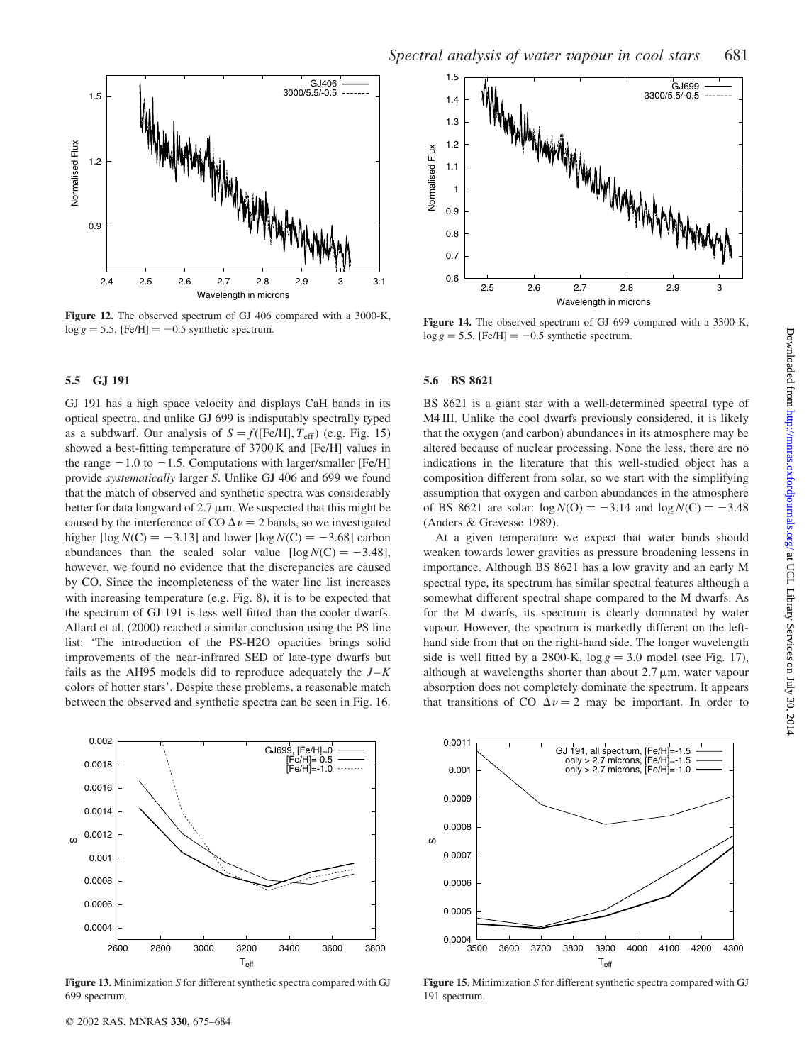

Figure 12. The observed spectrum of GJ 406 compared with a 3000-K,  $\log g = 5.5$ , [Fe/H] = -0.5 synthetic spectrum.

### 5.5 GJ 191

GJ 191 has a high space velocity and displays CaH bands in its optical spectra, and unlike GJ 699 is indisputably spectrally typed as a subdwarf. Our analysis of  $S = f({\text{[Fe/H]}}, T_{\text{eff}})$  (e.g. Fig. 15) showed a best-fitting temperature of 3700 K and [Fe/H] values in the range  $-1.0$  to  $-1.5$ . Computations with larger/smaller [Fe/H] provide systematically larger S. Unlike GJ 406 and 699 we found that the match of observed and synthetic spectra was considerably better for data longward of  $2.7 \mu m$ . We suspected that this might be caused by the interference of CO  $\Delta \nu = 2$  bands, so we investigated higher  $[\log N(C) = -3.13]$  and lower  $[\log N(C) = -3.68]$  carbon abundances than the scaled solar value  $[\log N(C) = -3.48]$ , however, we found no evidence that the discrepancies are caused by CO. Since the incompleteness of the water line list increases with increasing temperature (e.g. Fig. 8), it is to be expected that the spectrum of GJ 191 is less well fitted than the cooler dwarfs. Allard et al. (2000) reached a similar conclusion using the PS line list: 'The introduction of the PS-H2O opacities brings solid improvements of the near-infrared SED of late-type dwarfs but fails as the AH95 models did to reproduce adequately the  $J - K$ colors of hotter stars'. Despite these problems, a reasonable match between the observed and synthetic spectra can be seen in Fig. 16.



Figure 13. Minimization S for different synthetic spectra compared with GJ 699 spectrum.



Figure 14. The observed spectrum of GJ 699 compared with a 3300-K,  $\log g = 5.5$ , [Fe/H] = -0.5 synthetic spectrum.

#### 5.6 BS 8621

BS 8621 is a giant star with a well-determined spectral type of M4 III. Unlike the cool dwarfs previously considered, it is likely that the oxygen (and carbon) abundances in its atmosphere may be altered because of nuclear processing. None the less, there are no indications in the literature that this well-studied object has a composition different from solar, so we start with the simplifying assumption that oxygen and carbon abundances in the atmosphere of BS 8621 are solar:  $log N(O) = -3.14$  and  $log N(C) = -3.48$ (Anders & Grevesse 1989).

At a given temperature we expect that water bands should weaken towards lower gravities as pressure broadening lessens in importance. Although BS 8621 has a low gravity and an early M spectral type, its spectrum has similar spectral features although a somewhat different spectral shape compared to the M dwarfs. As for the M dwarfs, its spectrum is clearly dominated by water vapour. However, the spectrum is markedly different on the lefthand side from that on the right-hand side. The longer wavelength side is well fitted by a 2800-K,  $\log g = 3.0$  model (see Fig. 17), although at wavelengths shorter than about  $2.7 \mu m$ , water vapour absorption does not completely dominate the spectrum. It appears that transitions of CO  $\Delta v = 2$  may be important. In order to



Figure 15. Minimization S for different synthetic spectra compared with GJ 191 spectrum.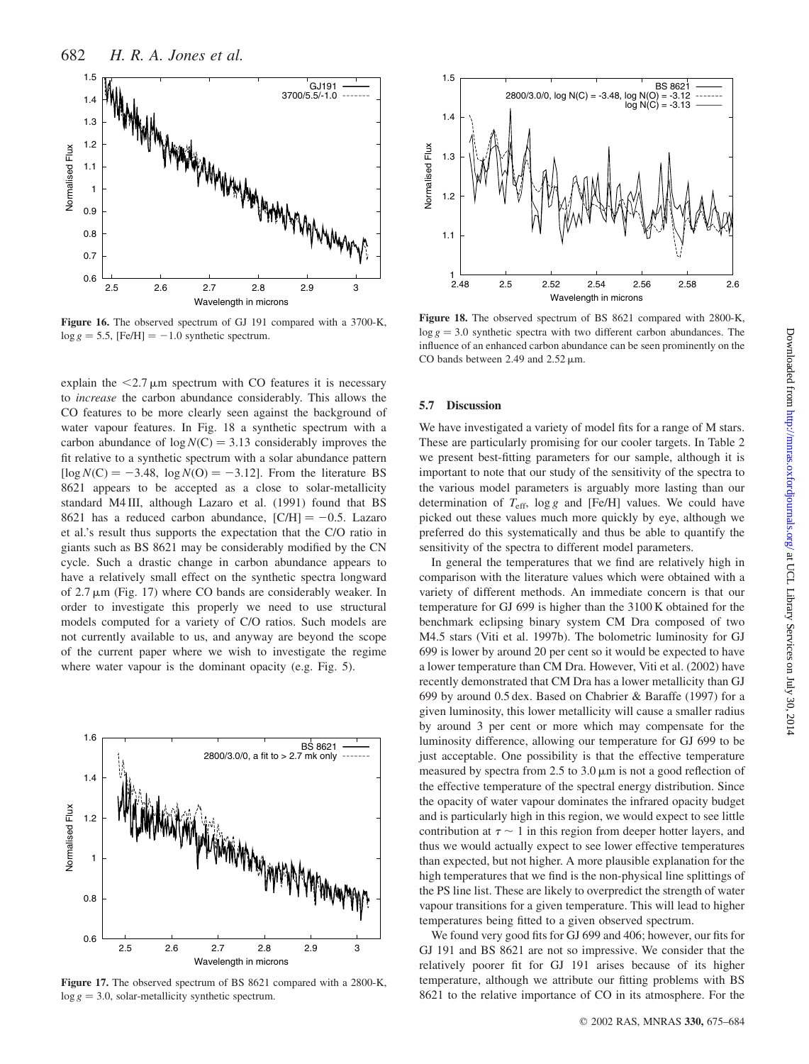

Figure 16. The observed spectrum of GJ 191 compared with a 3700-K,  $\log g = 5.5$ , [Fe/H] = -1.0 synthetic spectrum.

explain the  $\leq$ 2.7  $\mu$ m spectrum with CO features it is necessary to increase the carbon abundance considerably. This allows the CO features to be more clearly seen against the background of water vapour features. In Fig. 18 a synthetic spectrum with a carbon abundance of  $log N(C) = 3.13$  considerably improves the fit relative to a synthetic spectrum with a solar abundance pattern  $[\log N(C) = -3.48, \log N(O) = -3.12]$ . From the literature BS 8621 appears to be accepted as a close to solar-metallicity standard M4 III, although Lazaro et al. (1991) found that BS 8621 has a reduced carbon abundance,  $[CH] = -0.5$ . Lazaro et al.'s result thus supports the expectation that the C/O ratio in giants such as BS 8621 may be considerably modified by the CN cycle. Such a drastic change in carbon abundance appears to have a relatively small effect on the synthetic spectra longward of  $2.7 \mu m$  (Fig. 17) where CO bands are considerably weaker. In order to investigate this properly we need to use structural models computed for a variety of C/O ratios. Such models are not currently available to us, and anyway are beyond the scope of the current paper where we wish to investigate the regime where water vapour is the dominant opacity (e.g. Fig. 5).



Figure 17. The observed spectrum of BS 8621 compared with a 2800-K,  $\log g = 3.0$ , solar-metallicity synthetic spectrum.



Figure 18. The observed spectrum of BS 8621 compared with 2800-K,  $\log g = 3.0$  synthetic spectra with two different carbon abundances. The influence of an enhanced carbon abundance can be seen prominently on the CO bands between 2.49 and  $2.52 \,\mu m$ .

#### 5.7 Discussion

We have investigated a variety of model fits for a range of M stars. These are particularly promising for our cooler targets. In Table 2 we present best-fitting parameters for our sample, although it is important to note that our study of the sensitivity of the spectra to the various model parameters is arguably more lasting than our determination of  $T_{\text{eff}}$ , log g and [Fe/H] values. We could have picked out these values much more quickly by eye, although we preferred do this systematically and thus be able to quantify the sensitivity of the spectra to different model parameters.

In general the temperatures that we find are relatively high in comparison with the literature values which were obtained with a variety of different methods. An immediate concern is that our temperature for GJ 699 is higher than the 3100 K obtained for the benchmark eclipsing binary system CM Dra composed of two M4.5 stars (Viti et al. 1997b). The bolometric luminosity for GJ 699 is lower by around 20 per cent so it would be expected to have a lower temperature than CM Dra. However, Viti et al. (2002) have recently demonstrated that CM Dra has a lower metallicity than GJ 699 by around 0.5 dex. Based on Chabrier & Baraffe (1997) for a given luminosity, this lower metallicity will cause a smaller radius by around 3 per cent or more which may compensate for the luminosity difference, allowing our temperature for GJ 699 to be just acceptable. One possibility is that the effective temperature measured by spectra from  $2.5$  to  $3.0 \mu m$  is not a good reflection of the effective temperature of the spectral energy distribution. Since the opacity of water vapour dominates the infrared opacity budget and is particularly high in this region, we would expect to see little contribution at  $\tau \sim 1$  in this region from deeper hotter layers, and thus we would actually expect to see lower effective temperatures than expected, but not higher. A more plausible explanation for the high temperatures that we find is the non-physical line splittings of the PS line list. These are likely to overpredict the strength of water vapour transitions for a given temperature. This will lead to higher temperatures being fitted to a given observed spectrum.

We found very good fits for GJ 699 and 406; however, our fits for GJ 191 and BS 8621 are not so impressive. We consider that the relatively poorer fit for GJ 191 arises because of its higher temperature, although we attribute our fitting problems with BS 8621 to the relative importance of CO in its atmosphere. For the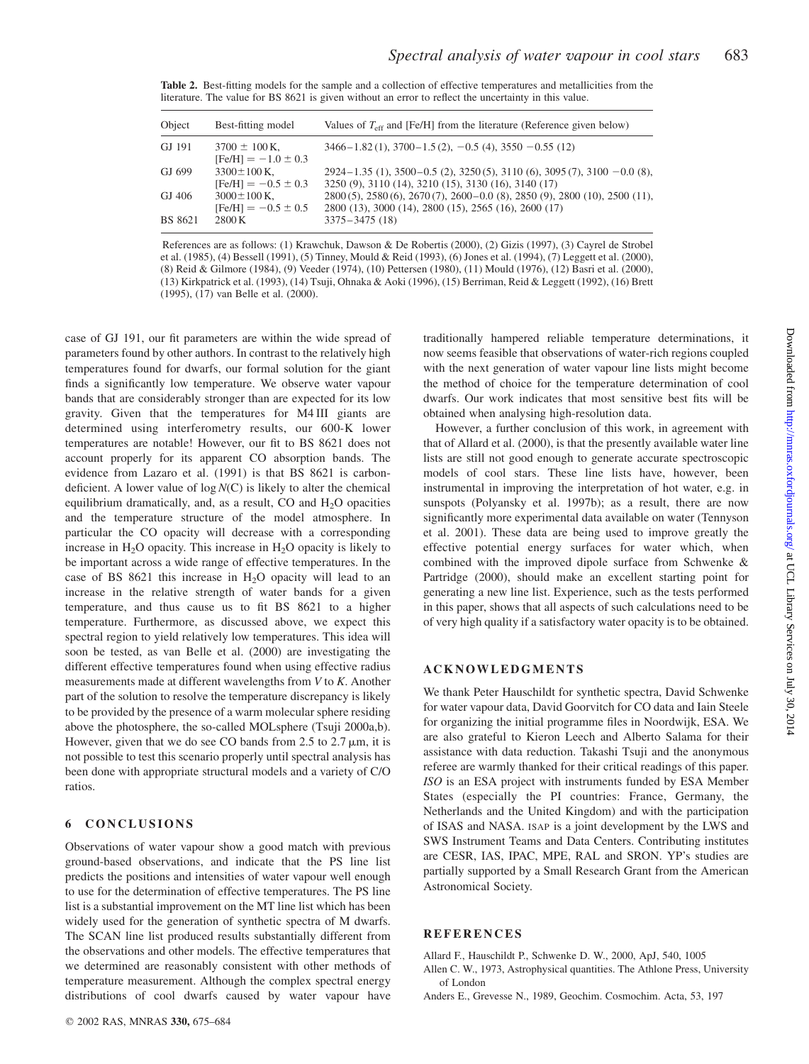| <b>Table 2.</b> Best-fitting models for the sample and a collection of effective temperatures and metallicities from the |
|--------------------------------------------------------------------------------------------------------------------------|
| literature. The value for BS 8621 is given without an error to reflect the uncertainty in this value.                    |

| Object         | Best-fitting model                           | Values of $T_{\rm eff}$ and [Fe/H] from the literature (Reference given below)                                                         |
|----------------|----------------------------------------------|----------------------------------------------------------------------------------------------------------------------------------------|
| GJ 191         | $3700 \pm 100$ K.<br>$[Fe/H] = -1.0 \pm 0.3$ | $3466 - 1.82(1)$ , $3700 - 1.5(2)$ , $-0.5(4)$ , $3550 - 0.55(12)$                                                                     |
| GJ 699         | $3300 \pm 100$ K.<br>$[Fe/H] = -0.5 \pm 0.3$ | $2924-1.35$ (1), 3500-0.5 (2), 3250 (5), 3110 (6), 3095 (7), 3100 -0.0 (8),<br>3250 (9), 3110 (14), 3210 (15), 3130 (16), 3140 (17)    |
| GJ 406         | $3000 \pm 100$ K.<br>$[Fe/H] = -0.5 \pm 0.5$ | 2800 (5), 2580 (6), 2670 (7), 2600 – 0.0 (8), 2850 (9), 2800 (10), 2500 (11),<br>2800 (13), 3000 (14), 2800 (15), 2565 (16), 2600 (17) |
| <b>BS</b> 8621 | 2800 K                                       | $3375 - 3475(18)$                                                                                                                      |

References are as follows: (1) Krawchuk, Dawson & De Robertis (2000), (2) Gizis (1997), (3) Cayrel de Strobel et al. (1985), (4) Bessell (1991), (5) Tinney, Mould & Reid (1993), (6) Jones et al. (1994), (7) Leggett et al. (2000), (8) Reid & Gilmore (1984), (9) Veeder (1974), (10) Pettersen (1980), (11) Mould (1976), (12) Basri et al. (2000), (13) Kirkpatrick et al. (1993), (14) Tsuji, Ohnaka & Aoki (1996), (15) Berriman, Reid & Leggett (1992), (16) Brett (1995), (17) van Belle et al. (2000).

case of GJ 191, our fit parameters are within the wide spread of parameters found by other authors. In contrast to the relatively high temperatures found for dwarfs, our formal solution for the giant finds a significantly low temperature. We observe water vapour bands that are considerably stronger than are expected for its low gravity. Given that the temperatures for M4 III giants are determined using interferometry results, our 600-K lower temperatures are notable! However, our fit to BS 8621 does not account properly for its apparent CO absorption bands. The evidence from Lazaro et al. (1991) is that BS 8621 is carbondeficient. A lower value of  $log N(C)$  is likely to alter the chemical equilibrium dramatically, and, as a result, CO and  $H_2O$  opacities and the temperature structure of the model atmosphere. In particular the CO opacity will decrease with a corresponding increase in  $H_2O$  opacity. This increase in  $H_2O$  opacity is likely to be important across a wide range of effective temperatures. In the case of BS 8621 this increase in  $H<sub>2</sub>O$  opacity will lead to an increase in the relative strength of water bands for a given temperature, and thus cause us to fit BS 8621 to a higher temperature. Furthermore, as discussed above, we expect this spectral region to yield relatively low temperatures. This idea will soon be tested, as van Belle et al. (2000) are investigating the different effective temperatures found when using effective radius measurements made at different wavelengths from V to K. Another part of the solution to resolve the temperature discrepancy is likely to be provided by the presence of a warm molecular sphere residing above the photosphere, the so-called MOLsphere (Tsuji 2000a,b). However, given that we do see CO bands from 2.5 to 2.7  $\mu$ m, it is not possible to test this scenario properly until spectral analysis has been done with appropriate structural models and a variety of C/O ratios.

# 6 CONCLUSIONS

Observations of water vapour show a good match with previous ground-based observations, and indicate that the PS line list predicts the positions and intensities of water vapour well enough to use for the determination of effective temperatures. The PS line list is a substantial improvement on the MT line list which has been widely used for the generation of synthetic spectra of M dwarfs. The SCAN line list produced results substantially different from the observations and other models. The effective temperatures that we determined are reasonably consistent with other methods of temperature measurement. Although the complex spectral energy distributions of cool dwarfs caused by water vapour have

traditionally hampered reliable temperature determinations, it now seems feasible that observations of water-rich regions coupled with the next generation of water vapour line lists might become the method of choice for the temperature determination of cool dwarfs. Our work indicates that most sensitive best fits will be obtained when analysing high-resolution data.

However, a further conclusion of this work, in agreement with that of Allard et al. (2000), is that the presently available water line lists are still not good enough to generate accurate spectroscopic models of cool stars. These line lists have, however, been instrumental in improving the interpretation of hot water, e.g. in sunspots (Polyansky et al. 1997b); as a result, there are now significantly more experimental data available on water (Tennyson et al. 2001). These data are being used to improve greatly the effective potential energy surfaces for water which, when combined with the improved dipole surface from Schwenke & Partridge (2000), should make an excellent starting point for generating a new line list. Experience, such as the tests performed in this paper, shows that all aspects of such calculations need to be of very high quality if a satisfactory water opacity is to be obtained.

# ACKNOWLEDGMENTS

We thank Peter Hauschildt for synthetic spectra, David Schwenke for water vapour data, David Goorvitch for CO data and Iain Steele for organizing the initial programme files in Noordwijk, ESA. We are also grateful to Kieron Leech and Alberto Salama for their assistance with data reduction. Takashi Tsuji and the anonymous referee are warmly thanked for their critical readings of this paper. ISO is an ESA project with instruments funded by ESA Member States (especially the PI countries: France, Germany, the Netherlands and the United Kingdom) and with the participation of ISAS and NASA. ISAP is a joint development by the LWS and SWS Instrument Teams and Data Centers. Contributing institutes are CESR, IAS, IPAC, MPE, RAL and SRON. YP's studies are partially supported by a Small Research Grant from the American Astronomical Society.

# **REFERENCES**

Allard F., Hauschildt P., Schwenke D. W., 2000, ApJ, 540, 1005

Allen C. W., 1973, Astrophysical quantities. The Athlone Press, University of London

Anders E., Grevesse N., 1989, Geochim. Cosmochim. Acta, 53, 197